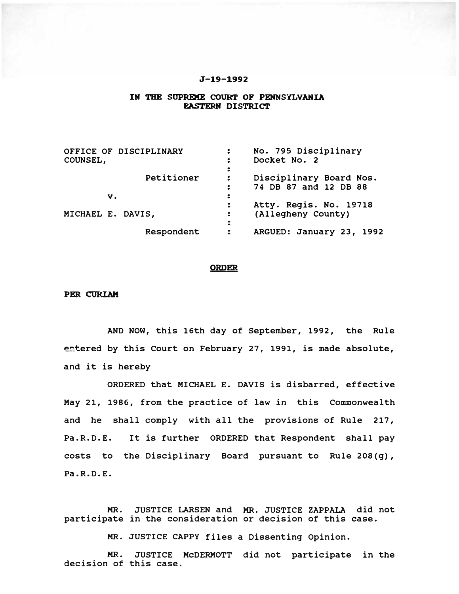## J-19-1992

#### IN THE SUPREME COURT OF PENNSYLVANIA **EASTERN DISTRICT**

| OFFICE OF DISCIPLINARY<br>COUNSEL, | No. 795 Disciplinary<br>$\ddot{\phantom{a}}$<br>Docket No. 2<br>፡                                     |  |
|------------------------------------|-------------------------------------------------------------------------------------------------------|--|
| Petitioner                         | ፡<br>Disciplinary Board Nos.<br>$\ddot{\phantom{a}}$<br>74 DB 87 and 12 DB 88<br>$\ddot{\phantom{a}}$ |  |
| V.                                 | ፡                                                                                                     |  |
| MICHAEL E. DAVIS,                  | Atty. Regis. No. 19718<br>$\ddot{\phantom{a}}$<br>(Allegheny County)<br>$\ddot{\phantom{a}}$<br>፡     |  |
| Respondent                         | ARGUED: January 23, 1992<br>፡                                                                         |  |

## ORDER

### PER CORIAK

AND NOW, this 16th day of September, 1992, the Rule ertered by this Court on February 27, 1991, is made absolute, and it is hereby

ORDERED that MICHAEL E. DAVIS is disbarred, effective May 21, 1986, from the practice of law in this Commonwealth and he shall comply with all the provisions of Rule 217, Pa.R.D.E. It is further ORDERED that Respondent shall pay costs to the Disciplinary Board pursuant to Rule 208(g), Pa.R.D.E.

MR. JUSTICE LARSEN and MR. JUSTICE ZAPPALA did not participate in the consideration or decision of this case.

MR. JUSTICE CAPPY files a Dissenting Opinion.

MR. JUSTICE McDERMOTT did not participate in the decision of this case.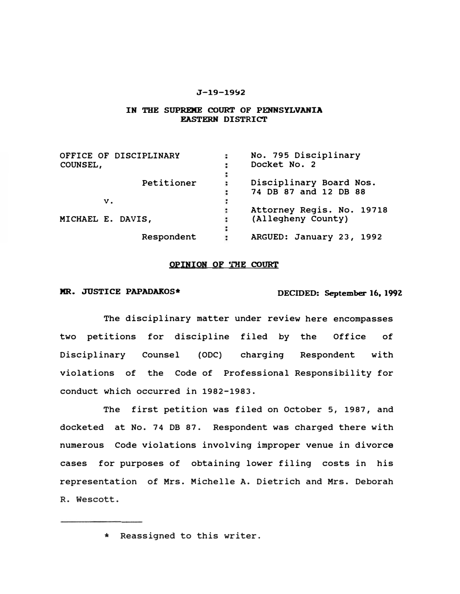## J-19-1992

## IN THE SUPREME COURT OF PENNSYLVANIA EASTERN DISTRICT

| OFFICE OF DISCIPLINARY | No. 795 Disciplinary<br>: |  |
|------------------------|---------------------------|--|
| <b>COUNSEL,</b>        | Docket No. 2              |  |
|                        |                           |  |
| Petitioner             | Disciplinary Board Nos.   |  |
|                        | 74 DB 87 and 12 DB 88     |  |
| v.                     |                           |  |
|                        | Attorney Regis. No. 19718 |  |
| MICHAEL E. DAVIS,      | (Allegheny County)        |  |
|                        |                           |  |
| Respondent             | ARGUED: January 23, 1992  |  |

# OPINION OF THE COURT

MR. JUSTICE PAPADAKOS\* **DECIDED: September 16, 1992** 

The disciplinary matter under review here encompasses two petitions for discipline filed by the Office of Disciplinary Counsel (ODC) charging Respondent with violations of the Code of Professional Responsibility for conduct which occurred in 1982-1983.

The first petition was filed on October 5, 1987, and docketed at No. 74 DB 87. Respondent was charged there with numerous Code violations involving improper venue in divorce cases for purposes of obtaining lower filing costs in his representation of Mrs. Michelle A. Dietrich and Mrs. Deborah R. Wescott.

<sup>\*</sup> Reassigned to this writer.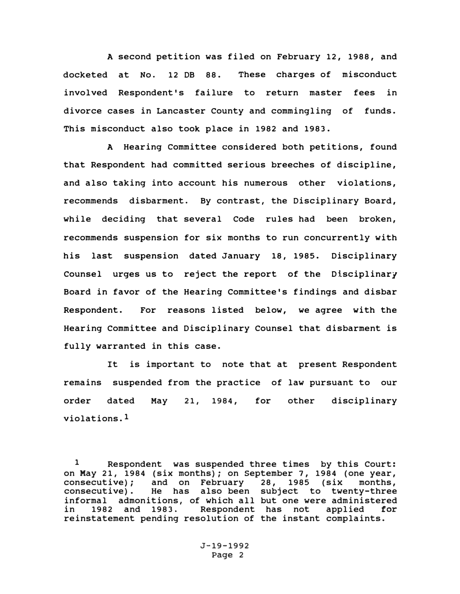A second petition was filed on February 12, 1988, and docketed at No. 12 DB 88. These charges of misconduct involved Respondent's failure to return master fees in divorce cases in Lancaster County and commingling of funds. This misconduct also took place in 1982 and 1983.

A Hearing committee considered both petitions, found that Respondent had committed serious breeches of discipline, and also taking into account his numerous other violations, recommends disbarment. By contrast, the Disciplinary Board, while deciding that several Code rules had been broken, recommends suspension for six months to run concurrently with his last suspension dated January 18, 1985. Disciplinary Counsel urges us to reject the report of the Disciplinary Board in favor of the Hearing Committee's findings and disbar Respondent. For reasons listed below, we agree with the Hearing Committee and Disciplinary Counsel that disbarment is fully warranted in this case.

It is important to note that at present Respondent remains suspended from the practice of law pursuant to our order dated May violations.1 21, 1984, for other disciplinary

<sup>1</sup> Respondent was suspended three times by this Court: on May 21, 1984 (six months); on September 7, 1984 (one year, consecutive); and on February 28, 1985 (six months. consecutive); and on February 28, 1985 (six months, consecutive). He has also been subject to twenty-three informal admonitions, of which all but one were administered in 1982 and 1983. Respondent has not applied *tor*  reinstatement pending resolution of the instant complaints.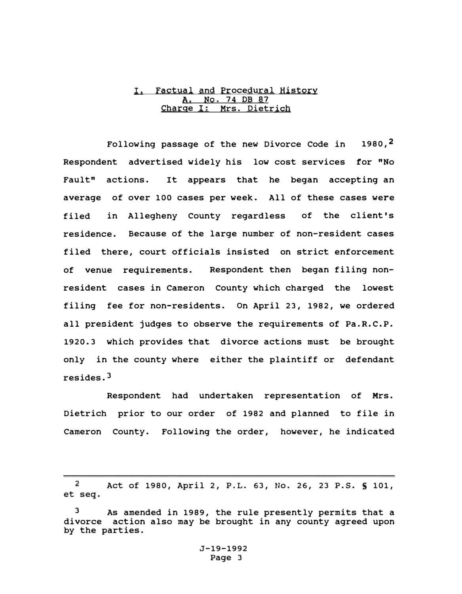# I. Factual and Procedural History <u>A. No. 74 DB 87</u><br>ge I: Mrs. Diet <u>Charge I: Mrs. Dietrich</u>

Following passage of the new Divorce Code in  $1980,$ <sup>2</sup> Respondent advertised widely his low cost services tor "No Fault" actions. It appears that he began accepting an average of over 100 cases per week. All of these cases were filed in Allegheny County regardless of the client's residence. Because of the large number of non-resident cases filed there, court officials insisted on strict enforcement of venue requirements. Respondent then began filing nonresident cases in Cameron County which charged the lowest filing fee for non-residents. on April 23, 1982, we ordered all president judges to observe the requirements of Pa.R.C.P. 1920.3 which provides that divorce actions must be brought only in the county where either the plaintiff or defendant resides.3

Respondent had undertaken representation of Mrs. Dietrich prior to our order of 1982 and planned to file in Cameron County. Following the order, however, he indicated

2 Act of 1980, April 2, P.L. 63, No. 26, 23 P.S. S 101, et seq.

As amended in 1989, the rule presently permits that a divorce action also may be brought in any county agreed upon by the parties.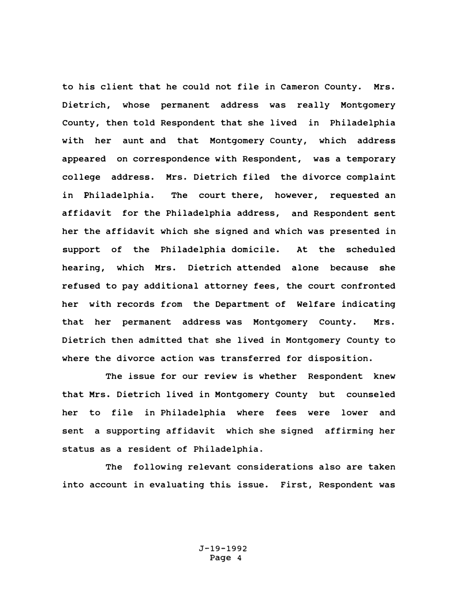to his client that he could not file in Cameron County. Mrs. Dietrich, whose permanent address was really Montgomery County, then told Respondent that she lived in Philadelphia with her aunt and that Montgomery County, which address appeared on correspondence with Respondent, was a temporary college address. Mrs. Dietrich filed the divorce complaint in Philadelphia. The court there, however, requested an affidavit for the Philadelphia address, and Respondent sent her the affidavit which she signed and which was presented in support of the Philadelphia domicile. At the scheduled hearing, which Mrs. Dietrich attended alone because she refused to pay additional attorney fees, the court confronted her with records from the Department of Welfare indicating that her permanent address was Montgomery county. Mrs. Dietrich then admitted that she lived in Montgomery County to where the divorce action was transferred for disposition.

The issue for our review is whether Respondent knew that Mrs. Dietrich lived in Montgomery County but counseled her to file in Philadelphia where fees were lower and sent a supporting affidavit which she signed affirming her status as a resident of Philadelphia.

The following relevant considerations also are taken into account in evaluating this issue. First, Respondent was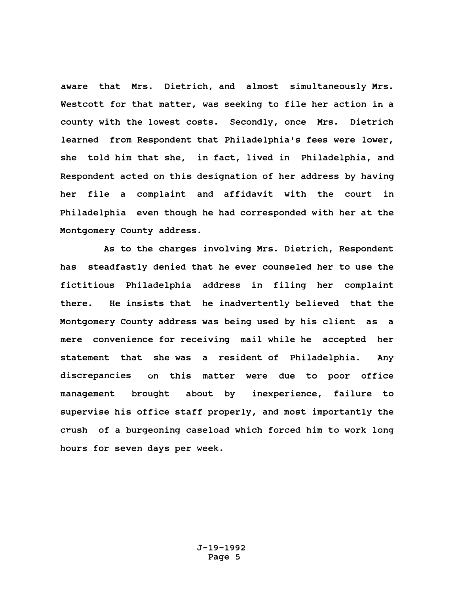aware that Mrs. Dietrich, and almost simultaneously Mrs. Westcott for that matter, was seeking to file her action in a county with the lowest costs. Secondly, once Mrs. Dietrich learned from Respondent that Philadelphia's fees were lower, she told him that she, in fact, lived in Philadelphia, and Respondent acted on this designation of her address by having her file a complaint and affidavit with the court in Philadelphia even though he had corresponded with her at the Montgomery County address.

As to the charges involving Mrs. Dietrich, Respondent has steadfastly denied that he ever counseled her to use the fictitious Philadelphia address in filing her complaint there. He insists that he inadvertently believed that the Montgomery County address was being used by his client as a mere convenience for receiving mail while he accepted her statement that she was a resident of Philadelphia. Any discrepancies on this matter were due to poor office management brought about by inexperience, failure to supervise his office staff properly, and most importantly the crush of a burgeoning caseload which forced him to work long hours for seven days per week.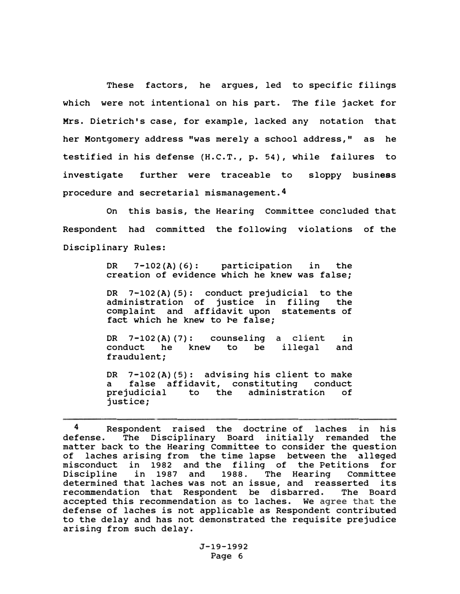These factors, he argues, led to specific filings which were not intentional on his part. The file jacket for Mrs. Dietrich's case, for example, lacked any notation that her Montgomery address "was merely a school address," as he testified in his defense (H.C.T., p. 54), while failures to investigate further were traceable to sloppy business procedure and secretarial mismanagement.4

On this basis, the Hearing Committee concluded that Respondent had committed the following violations of the Disciplinary Rules:

> DR 7-102(A) (6): participation in the creation of evidence which he knew was false;

> DR 7-102(A) (5): conduct prejudicial to the administration of justice in filing the complaint and affidavit upon statements of fact which he knew to he false;

> DR 7-102(A) (7): counseling a client conduct he knew to be fraudulent; illegal in and

> DR 7-102(A)(5): advising his client to make a false affidavit, constituting conduct prejudicial to the administration of justice;

<sup>4</sup> Respondent raised the doctrine of laches in his defense. The Disciplinary Board initially remanded the matter back to the Hearing Committee to consider the question of laches arising from the time lapse between the alleged misconduct in 1982 and the filing of the Petitions for Discipline in 1987 and 1988. The Hearing Committee determined that laches was not an issue, and reasserted its recommendation that Respondent be disbarred. The Board accepted this recommendation as to laches. We agree that the defense of laches is not applicable as Respondent contributed to the delay and has not demonstrated the requisite prejudice arising from such delay.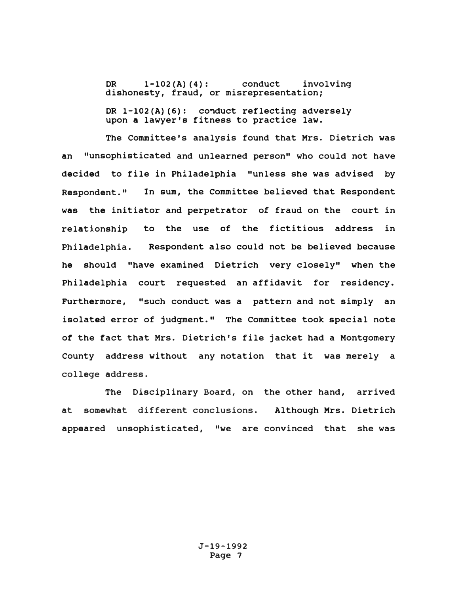DR 1-102(A)(4): conduct involving dishonesty, fraud, or misrepresentation;

OR l-102(A) **(6):** co�duct reflecting adversely upon a lawyer's fitness to practice law.

The Committee's analysis found that Mrs. Dietrich was an "unsophisticated and unlearned person" who could not have decided to file in Philadelphia "unless she was advised by Respondent." In sum, the Committee believed that Respondent was the initiator and perpetrator of fraud on the court in relationship to the use of the fictitious address in Philadelphia. Respondent also could not be believed because he should "have examined Dietrich very closely" when the Philadelphia court requested an affidavit for residency. FUrthermore, "such conduct was a pattern and not simply an isolated error of judgment." The Committee took special note of the fact that Mrs. Dietrich's file jacket had a Montgomery County address without any notation that it was merely a college address.

The Disciplinary Board, on the other hand, arrived at somewhat different conclusions. Although Mrs. Dietrich appeared unsophisticated, "we are convinced that she was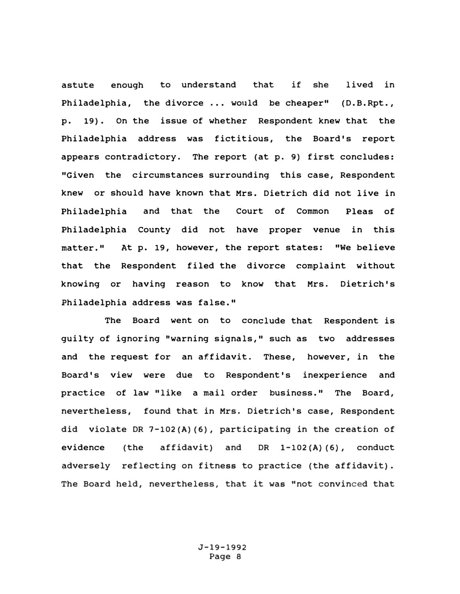astute enough to understand that if she lived in Philadelphia, the divorce •.. would be cheaper" (D.B.Rpt., p. 19). On the issue of whether Respondent knew that the Philadelphia address was fictitious, the Board's report appears contradictory. The report (at p. **9)** first concludes: "Given the circumstances surrounding this case, Respondent knew or should have known that Mrs. Dietrich did not live in Philadelphia and that the Court of Common Pleas of Philadelphia County did not have proper venue in this matter." At p. 19, however, the report states: "We believe that the Respondent filed the divorce complaint without knowing or having reason to know that Mrs. Dietrich's Philadelphia address was false."

The Board went on to conclude that Respondent is guilty of ignoring 11warning signals," such as two addresses and the request for an affidavit. These, however, in the Board's view were due to Respondent's inexperience and practice of law "like a mail order business." The Board, nevertheless, found that in Mrs. Dietrich's case, Respondent did violate DR 7-102(A)(6), participating in the creation of evidence (the affidavit) and DR l-102(A) (6), conduct adversely reflecting on fitness to practice (the affidavit). The Board held, nevertheless, that it was "not convinced that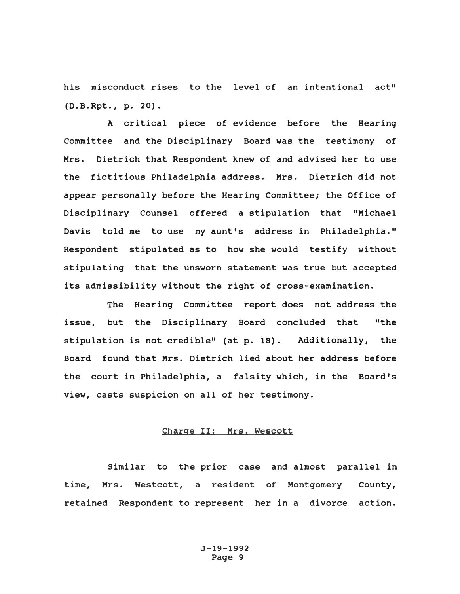his misconduct rises to the level of an intentional act" (D.B.Rpt., p. 20).

A critical piece of evidence before the Hearing committee and the Disciplinary Board was the testimony of Mrs. Dietrich that Respondent knew of and advised her to use the fictitious Philadelphia address. Mrs. Dietrich did not appear personally before the Hearing Committee; the Office of Disciplinary Counsel offered a stipulation that "Michael Davis told me to use my aunt's address in Philadelphia." Respondent stipulated as to how she would testify without stipulating that the unsworn statement was true but accepted its admissibility without the right of cross-examination.

The Hearing Comm�ttee report does not address the issue, but the Disciplinary Board concluded that "the stipulation is not credible" (at p. 18). Additionally, the Board found that Mrs. Dietrich lied about her address before the court in Philadelphia, a falsity which, in the Board's view, casts suspicion on all of her testimony.

# Charge II: Mrs. Wescott

Similar to the prior case and almost parallel in time, Mrs. Westcott, a resident of Montgomery County, retained Respondent to represent her in a divorce action.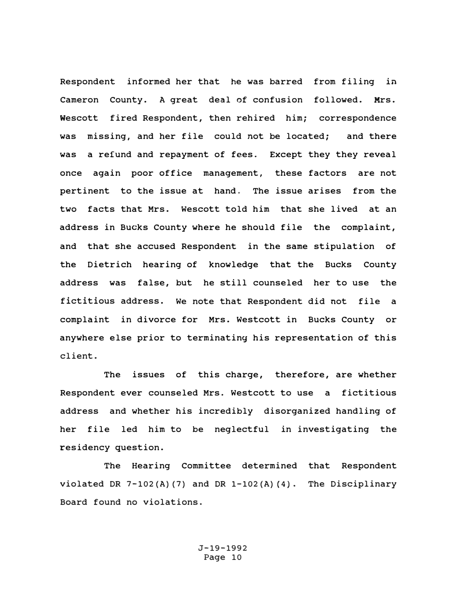Respondent informed her that he was barred from filing in Cameron County. A great deal of confusion followed. Mrs. Wescott fired Respondent, then rehired him; correspondence was missing, and her file could not be located; and there was a refund and repayment of fees. Except they they reveal once again poor office management, these factors are not pertinent to the issue at hand. The issue arises from the two facts that Mrs. Wescott told him that she lived at an address in Bucks County where he should file the complaint, and that she accused Respondent in the same stipulation of the Dietrich hearing of knowledge that the Bucks County address was false, but he still counseled her to use the fictitious address. We note that Respondent did not file a complaint in divorce for Mrs. Westcott in Bucks County or anywhere else prior to terminating his representation of this client.

The issues of this charge, therefore, are whether Respondent ever counseled Mrs. Westcott to use a fictitious address and whether his incredibly disorganized handling of her file led him to be neglectful in investigating the residency question.

The Hearing Committee determined that Respondent violated DR 7-102(A) (7) and DR 1-102(A) **(4).** The Disciplinary Board found no violations.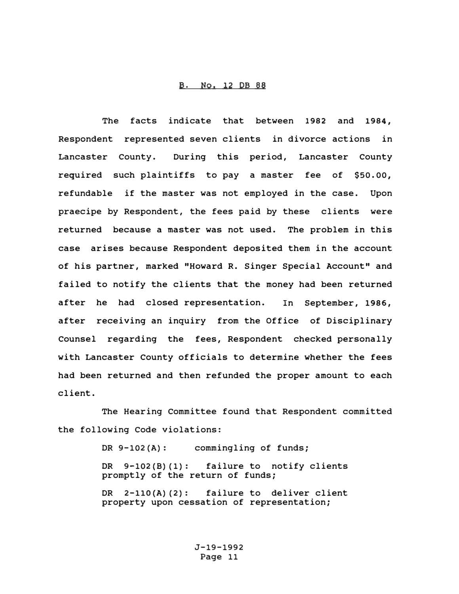# B. No. 12 DB 88

The facts indicate that between 1982 and 1984, Respondent represented seven clients in divorce actions in Lancaster County. During this period, Lancaster County required such plaintiffs to pay a master fee of \$50.00, refundable if the master was not employed in the case. Upon praecipe by Respondent, the fees paid by these clients were returned because a master was not used. The problem in this case arises because Respondent deposited them in the account of his partner, marked "Howard R. Singer Special Account" and failed to notify the clients that the money had been returned after he had closed representation. In September, 1986, after receiving an inquiry from the Office of Disciplinary Counsel regarding the fees, Respondent checked personally with Lancaster County officials to determine whether the fees had been returned and then refunded the proper amount to each client.

The Hearing Committee found that Respondent committed the following Code violations:

> DR 9-102(A): commingling of funds; OR 9-102(8) (1): failure to notify clients promptly of the return of funds; DR 2-110(A)(2): failure to deliver client property upon cessation of representation;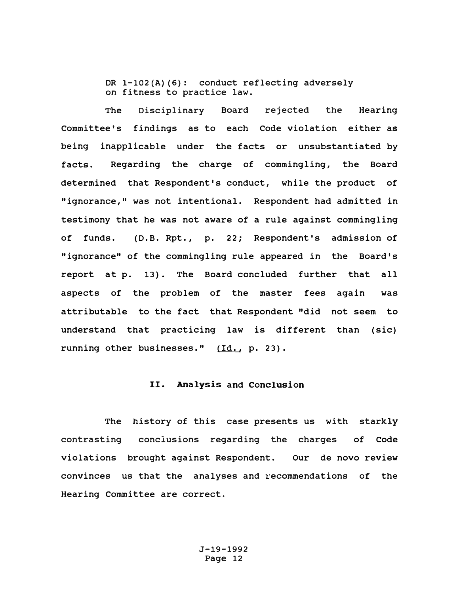DR 1-102(A)(6): conduct reflecting adversely on fitness to practice law.

The Disciplinary Board rejected the Hearing Committee's findings as to each Code violation either as being inapplicable under the facts or unsubstantiated by facts. Regarding the charge of commingling, the Board determined that Respondent's conduct, while the product of "ignorance," was not intentional. Respondent had admitted in testimony that he was not aware of a rule against commingling of funds. (D.B. Rpt., p. 22; Respondent's admission of "ignorance" of the commingling rule appeared in the Board's report at p. 13). The Board concluded further that all aspects of the problem of the master fees again was attributable to the fact that Respondent "did not seem to understand that practicing law is different than (sic) running other businesses." (Id., p. 23).

## II. Analysis and Conclusion

The history of this case presents us with starkly contrasting conclusions regarding the charges of Code violations brought against Respondent. our de novo review convinces us that the analyses and recommendations of the Hearing Committee are correct.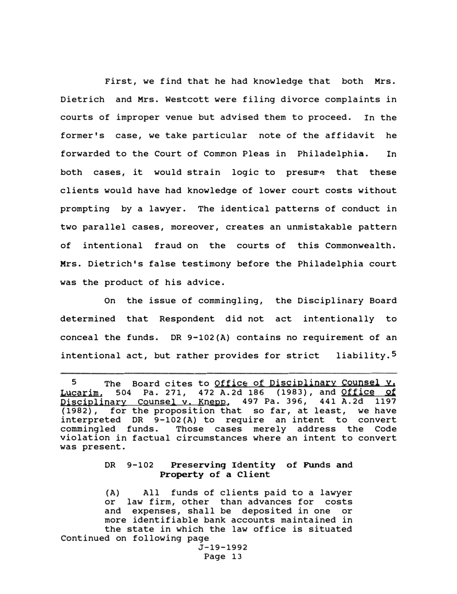First, we find that he had knowledge that both Mrs. Dietrich and Mrs. Westcott were filing divorce complaints in courts of improper venue but advised them to proceed. In the former's case, we take particular note of the affidavit he forwarded to the Court of Common Pleas in Philadelphia. In both cases, it would strain logic to presume that these clients would have had knowledge of lower court costs without prompting by a lawyer. The identical patterns of conduct in two parallel cases, moreover, creates an unmistakable pattern of intentional fraud on the courts of this Commonwealth. Mrs. Dietrich's false testimony before the Philadelphia court was the product of his advice.

On the issue of commingling, the Disciplinary Board determined that Respondent did not act intentionally to conceal the funds. DR 9-102(A) contains no requirement of an intentional act, but rather provides for strict liability.5

# DR 9-102 Preserving Identity of Funds and Property of a Client

(A) All funds of clients paid to a lawyer or law firm, other than advances for costs and expenses, shall be deposited in one or more identifiable bank accounts maintained in the state in which the law office is situated Continued on following page

<sup>5</sup> The Board cites to Office of Disciplinary Counsel Y. Lucarim, 504 Pa. 271, 472 A.2d 186 (1983), and Office of Disciplinary Counsel v. Knepp, 497 Pa. 396, 441 A.2d 1197 (1982), for the proposition that so far, at least, we have interpreted DR 9-102(A) to require an intent to convert commingled funds. Those cases merely address the Code violation in factual circumstances where an intent to convert was present.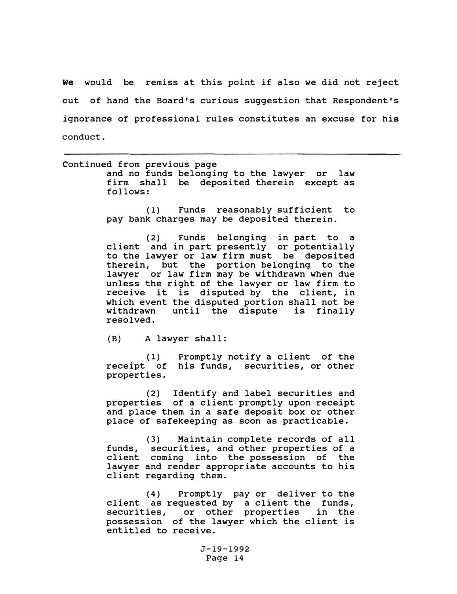We would be remiss at this point if also we did not reject out of hand the Board's curious suggestion that Respondent's ignorance of professional rules constitutes an excuse for his conduct.

| Continued from previous page<br>and no funds belonging to the lawyer or law<br>firm shall be deposited therein except as<br>follows:                                                                                                                                                                                                                                                                                             |
|----------------------------------------------------------------------------------------------------------------------------------------------------------------------------------------------------------------------------------------------------------------------------------------------------------------------------------------------------------------------------------------------------------------------------------|
| (1) Funds reasonably sufficient to<br>pay bank charges may be deposited therein.                                                                                                                                                                                                                                                                                                                                                 |
| (2) Funds belonging in part to a<br>client and in part presently or potentially<br>to the lawyer or law firm must be deposited<br>therein, but the portion belonging to the<br>lawyer or law firm may be withdrawn when due<br>unless the right of the lawyer or law firm to<br>receive it is disputed by the client, in<br>which event the disputed portion shall not be<br>withdrawn until the dispute is finally<br>resolved. |
| (B) A lawyer shall:                                                                                                                                                                                                                                                                                                                                                                                                              |
| (1) Promptly notify a client of the<br>receipt of his funds, securities, or other<br>properties.                                                                                                                                                                                                                                                                                                                                 |
| (2) Identify and label securities and<br>properties of a client promptly upon receipt<br>and place them in a safe deposit box or other<br>place of safekeeping as soon as practicable.                                                                                                                                                                                                                                           |
| $\mathcal{L}(\mathbf{a})$ and $\mathcal{L}(\mathbf{a})$ is a subsequently defined as $\mathbf{a}$ in the set of $\mathbf{a}$ is a set of $\mathbf{a}$                                                                                                                                                                                                                                                                            |

funds, securities, and other properties of a client coming into the possession of the lawyer and render appropriate accounts to his client regarding them. (3) Maintain complete records of all

(4) Promptly pay or deliver to the client as requested by a client the funds, securities, or other properties in the possession of the lawyer which the client is entitled to receive.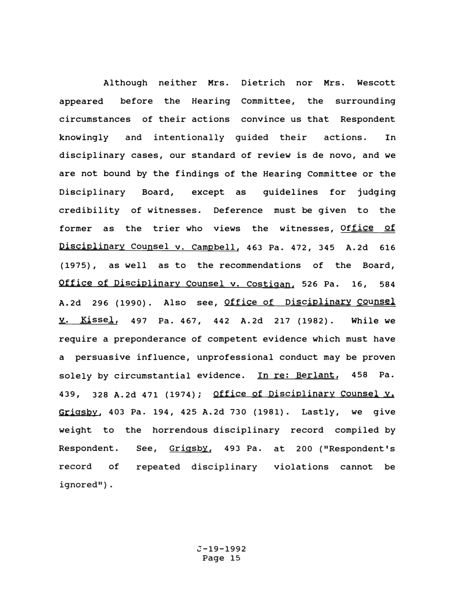Although neither Mrs. Dietrich nor Mrs. Wescott appeared before the Hearing Committee, the surrounding circumstances of their actions convince us that Respondent knowingly and intentionally guided their actions. In disciplinary cases, our standard of review is de novo, and we are not bound by the findings of the Hearing Committee or the Disciplinary Board, except as guidelines for judging credibility of witnesses. Deference must be given to the former as the trier who views the witnesses, Office of Disciplinary Counsel v. Campbell, 463 Pa. 472, 345 A.2d 616 (1975), as well as to the recommendations of the Board, Office of Disciplinary Counsel v. Costigan, 526 Pa. 16, 584 A.2d 296 (1990). Also see, Office of Disciplinary Counsel y. Kissel, 497 Pa. 467, 442 A.2d 217 (1982). While we require a preponderance of competent evidence which must have a persuasive influence, unprofessional conduct may be proven solely by circumstantial evidence. In re: Berlant, 458 Pa. 439, 328 A.2d 471 (1974); Office of Disciplinary Counsel Y. Grigsby, 403 Pa. 194, 425 A.2d 730 (1981). Lastly, we give weight to the horrendous disciplinary record compiled by Respondent. record of ignored"). See, Grigsby, 493 Pa. at 200 ("Respondent's repeated disciplinary violations cannot be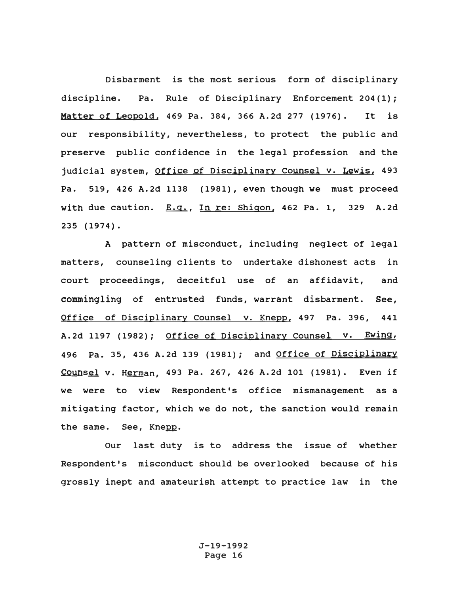Disbarment is the most serious form of disciplinary discipline. Pa. Rule of Disciplinary Enforcement 204(1); **Matter** of Leopold, 469 Pa. 384, 366 A.2d 211 (1976). It is our responsibility, nevertheless, to protect the public and preserve public confidence in the legal profession and the judicial system, Office of Disciplinary Counsel v. Lewis, 493 Pa. 519, 426 A.2d 1138 (1981}, even though we must proceed with due caution. E.q., In re: Shigon, 462 Pa. 1, 329 A.2d 235 (1974).

A pattern of misconduct, including neglect of legal matters, counseling clients to undertake dishonest acts in court proceedings, deceitful use of an affidavit, and commingling of entrusted funds, warrant disbarment. See, Office of Disciplinary Counsel v. Knepp, 497 Pa. 396, 441 A.2d 1197 (1982); Office of Disciplinary Counsel v. Ewing, 496 Pa. 35, 436 A.2d 139 (1981}; and Office of Disciplinary Counsel v. Herman, 493 Pa. 267, 426 A.2d 101 (1981). Even if we were to view Respondent's office mismanagement as a mitigating factor, which we do not, the sanction would remain the same. See, Knepp.

Our last duty is to address the issue of whether Respondent's misconduct should be overlooked because of his grossly inept and amateurish attempt to practice law in the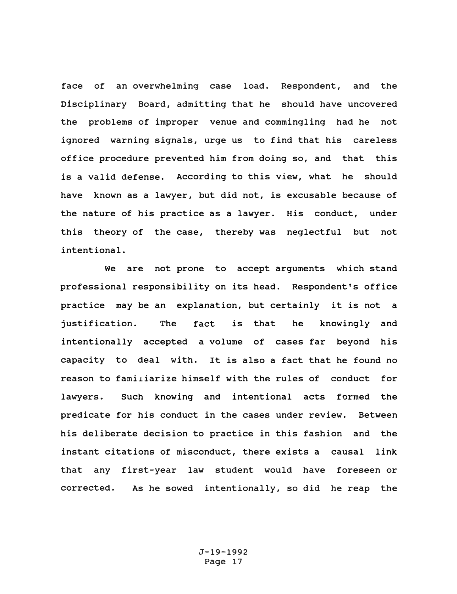face of an overwhelming case load. Respondent, and the Disciplinary Board, admitting that he should have uncovered the problems of improper venue and commingling had he not ignored warning signals, urge us to find that his careless office procedure prevented him from doing so, and that this is a valid defense. According to this view, what he should have known as a lawyer, but did not, is excusable because of the nature of his practice as a lawyer. His conduct, under this theory of the case, thereby was neglectful but not intentional.

We are not prone to accept arguments which stand professional responsibility on its head. Respondent's office practice may be an explanation, but certainly it is not a justification. The fact is that he knowingly and intentionally accepted a volume of cases far beyond his capacity to deal with. It is also a fact that he found no reason to famiiiarize himself with the rules of conduct for lawyers. such knowing and intentional acts formed the predicate for his conduct in the cases under review. Between his deliberate decision to practice in this fashion and the instant citations of misconduct, there exists a causal link that any first-year law student would have foreseen or corrected. As he sowed intentionally, so did he reap the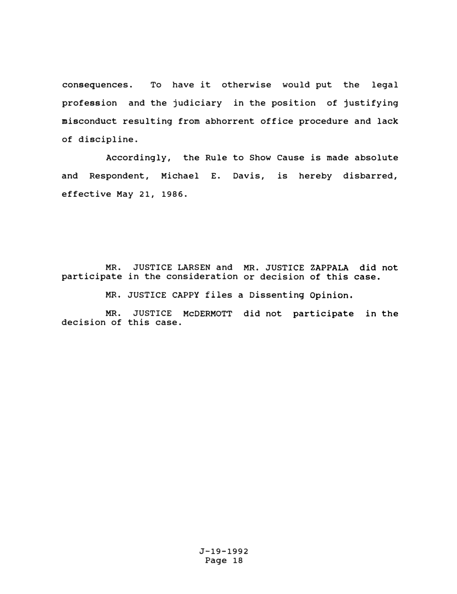consequences. To have it otherwise would put the legal profession and the judiciary in the position of justifying misconduct resulting from abhorrent office procedure and lack of discipline.

Accordingly, the Rule to Show cause is made absolute and Respondent, Michael E. Davis, is hereby disbarred, effective May 21, 1986.

MR. JUSTICE LARSEN and **MR.** JUSTICE ZAPPALA did not participate in the consideration or decision of this case.

MR. JUSTICE CAPPY files a Dissenting Opinion.

MR. JUSTICE McDERMOTT did not participate in the decision of this case.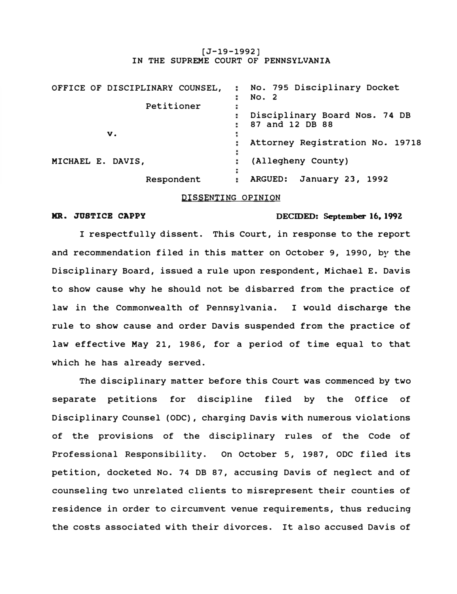## $[J-19-1992]$ IN THE SUPREME COURT OF PENNSYLVANIA

| OFFICE OF DISCIPLINARY COUNSEL, | : No. 795 Disciplinary Docket<br>No. 2                |
|---------------------------------|-------------------------------------------------------|
| Petitioner                      | ٠<br>Disciplinary Board Nos. 74 DB<br>87 and 12 DB 88 |
| v.                              | Attorney Registration No. 19718                       |
| MICHAEL E. DAVIS,               | (Allegheny County)                                    |
| Respondent                      | ARGUED: January 23, 1992                              |

## DISSENTING OPINION

# **NR. JUSTICB CAPPY DECIDED: September 16. 199Z**

I respectfully dissent. This Court, in response to the report and recommendation filed in this matter on October 9, 1990, by the Disciplinary Board, issued a rule upon respondent, Michael E. Davis to show cause why he should not be disbarred from the practice of law in the Commonwealth of Pennsylvania. I would discharge the rule to show cause and order Davis suspended from the practice of law effective May 21, 1986, for a period of time equal to that which he has already served.

The disciplinary matter before this Court was commenced by two separate petitions for discipline filed by the Office of Disciplinary Counsel (ODC), charging Davis with numerous violations of the provisions of the disciplinary rules of the Code of Professional Responsibility. On October 5, 1987, ODC filed its petition, docketed No. 74 DB 87, accusing Davis of neglect and of counseling two unrelated clients to misrepresent their counties of residence in order to circumvent venue requirements, thus reducing the costs associated with their divorces. It also accused Davis of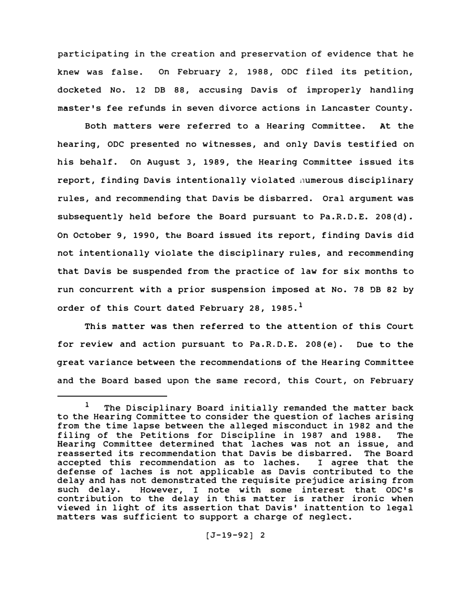participating in the creation and preservation of evidence that he knew was false. On February 2, 1988, ODC filed its petition, docketed No. 12 DB 88, accusing Davis of improperly handling master's fee refunds in seven divorce actions in Lancaster County.

Both matters were referred to a Hearing committee. At the hearing, ODC presented no witnesses, and only Davis testified on his behalf. On August 3, 1989, the Hearing Committee issued its report, finding Davis intentionally violated numerous disciplinary rules, and recommending that Davis be disbarred. oral argument was subsequently held before the Board pursuant to Pa.R.D.E. 208(d). On October 9, 1990, the Board issued its report, finding Davis did not intentionally violate the disciplinary rules, and recommending that Davis be suspended from the practice of law for six months to run concurrent with a prior suspension imposed at No. 78 DB 82 by order of this court dated February 28, 1985.**<sup>1</sup>**

This matter was then referred to the attention of this Court for review and action pursuant to Pa.R.D.E. 208(e). Due to the great variance between the recommendations of the Hearing Committee and the Board based upon the same record, this Court, on February

 $1$  The Disciplinary Board initially remanded the matter back to the Hearing Committee to consider the question of laches arising from the time lapse between the alleged misconduct in 1982 and the filing of the Petitions for Discipline in 1987 and 1988. Hearing Committee determined that laches was not an issue, and<br>reasserted its recommendation that Davis be disbarred. The Board reasserted its recommendation that Davis be disbarred. The Board<br>accepted this recommendation as to laches. I agree that the accepted this recommendation as to laches. defense of laches is not applicable as Davis contributed to the delay and has not demonstrated the requisite prejudice arising from<br>such delay. However, I note with some interest that ODC's However, I note with some interest that ODC's contribution to the delay in this matter is rather ironic when viewed in light of its assertion that Davis' inattention to legal matters was sufficient to support a charge of neglect.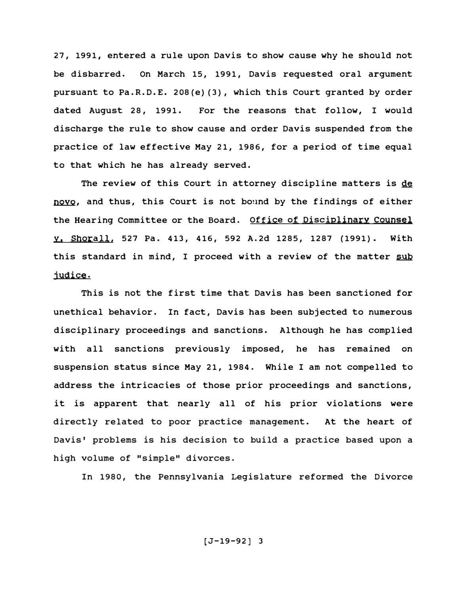27, 1991, entered a rule upon Davis to show cause why he should not be disbarred. On March 15, 1991, Davis requested oral argument pursuant to Pa.R.D.E. 208(e) (3), which this Court granted by order dated August 28, 1991. For the reasons that follow, I would discharge the rule to show cause and order Davis suspended from the practice of law effective May 21, 1986, for a period of time equal to that which he has already served.

The review of this Court in attorney discipline matters is de novo, and thus, this Court is not bound by the findings of either the Hearing Committee or the Board. Office of Disciplinary Counsel Y, Shorall, 527 Pa. 413, 416, 592 A.2d 1285, 1287 (1991). With this standard in mind, I proceed with a review of the matter sub judice.

This is not the first time that Davis has been sanctioned for unethical behavior. In fact, Davis has been subjected to numerous disciplinary proceedings and sanctions. Although he has complied with all sanctions previously imposed, he has remained on suspension status since May 21, 1984. While I am not compelled to address the intricacies of those prior proceedings and sanctions, it is apparent that nearly all of his prior violations were directly related to poor practice management. At the heart of Davis' problems is his decision to build a practice based upon a high volume of "simple" divorces.

In 1980, the Pennsylvania Legislature reformed the Divorce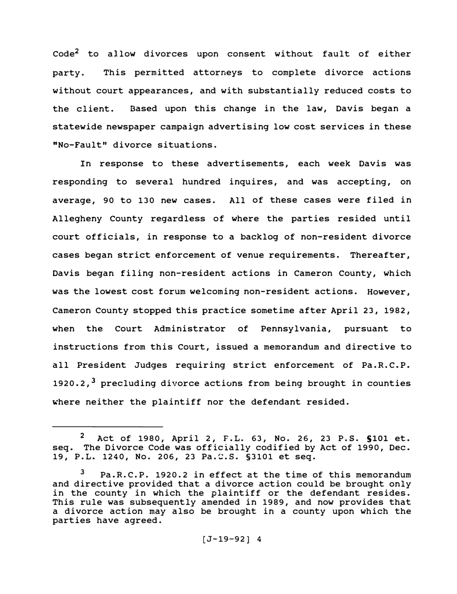$Code<sup>2</sup>$  to allow divorces upon consent without fault of either party. This permitted attorneys to complete divorce actions without court appearances, and with substantially reduced costs to the client. Based upon this change in the law, Davis began a statewide newspaper campaign advertising low cost services in these "No-Fault" divorce situations.

In response to these advertisements, each week Davis was responding to several hundred inquires, and was accepting, on average, 90 to 130 new cases. All of these cases were filed in Allegheny County regardless of where the parties resided until court officials, in response to a backlog of non-resident divorce cases began strict enforcement of venue requirements. Thereafter, Davis began filing non-resident actions in Cameron County, which was the lowest cost forum welcoming non-resident actions. However, Cameron County stopped this practice sometime after April 23, 1982, when the Court Administrator of Pennsylvania, pursuant to instructions from this Court, issued a memorandum and directive to all President Judges requiring strict enforcement of Pa.R.C.P. 1920.2.<sup>3</sup> precluding divorce actions from being brought in counties where neither the plaintiff nor the defendant resided.

**<sup>2</sup>**Act of 1980, April 2, F.L. 63, No. 26, 23 P.S. SlOl et. seq. The Divorce Code was officially codified by Act of 1990, Dec. 19, P.L. 1240, No. 206, 23 Pa.�.s. §3101 et seq.

**<sup>3</sup>**Pa.R.C.P. 1920.2 in effect at the time of this memorandum and directive provided that a divorce action could be brought only in the county in which the plaintiff or the defendant resides. This rule was subsequently amended in 1989, and now provides that a divorce action may also be brought in a county upon which the parties have agreed.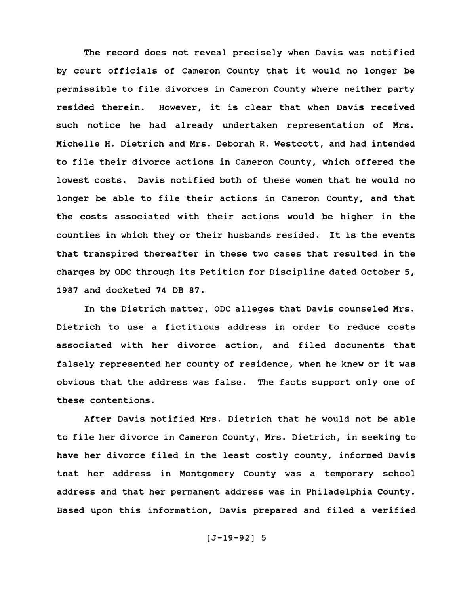The record does not reveal precisely when Davis was notified by court officials of Cameron County that it would no longer be permissible to file divorces in Cameron County where neither party resided therein. However, it is clear that when Davis received such notice he had already undertaken representation of Mrs. Michelle H. Dietrich and Mrs. Deborah R. Westcott, and had intended to file their divorce actions in Cameron County, which offered the lowest costs. Davis notified both of these women that he would no longer be able to file their actions in Cameron County, and that the costs associated with their actions would be higher in the counties in which they or their husbands resided. It is the events that transpired thereafter in these two cases that resulted in the charges by ODC through its Petition for Discipline dated October 5, 1987 and docketed 74 DB 87.

In the Dietrich matter, ODC alleges that Davis counseled Mrs. Dietrich to use a fictitious address in order to reduce costs associated with her divorce action, and filed documents that falsely represented her county of residence, when he knew or it was obvious that the address was false. The facts support only one of these contentions.

After Davis notified Mrs. Dietrich that he would not be able to file her divorce in Cameron County, Mrs. Dietrich, in seeking to have her divorce filed in the least costly county, informed Davis tnat her address in Montgomery County was a temporary school address and that her permanent address was in Philadelphia county. Based upon this information, Davis prepared and filed a verified

(J-19-92) 5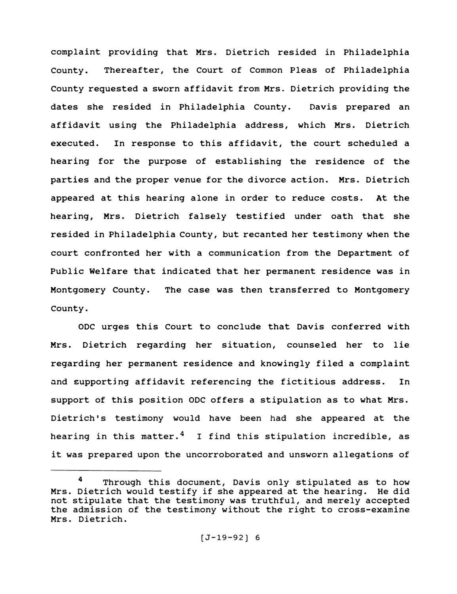complaint providing that Mrs. Dietrich resided in Philadelphia County. Thereafter, the Court of Common Pleas of Philadelphia county requested a sworn affidavit from Mrs. Dietrich providing the dates she resided in Philadelphia County. Davis prepared an affidavit using the Philadelphia address, which Mrs. Dietrich executed. In response to this affidavit, the court scheduled a hearing for the purpose of establishing the residence of the parties and the proper venue for the divorce action. Mrs. Dietrich appeared at this hearing alone in order to reduce costs. At the hearing, Mrs. Dietrich falsely testified under oath that she resided in Philadelphia County, but recanted her testimony when the court confronted her with a communication from the Department of Public Welfare that indicated that her permanent residence was in Montgomery county. The case was then transferred to Montgomery County.

ODC urges this Court to conclude that Davis conferred with Mrs. Dietrich regarding her situation, counseled her to lie regarding her permanent residence and knowingly filed a complaint and supporting affidavit referencing the fictitious address. In support of this position ODC offers a stipulation as to what Mrs. Dietrich's testimony would have been had she appeared at the hearing in this matter. **<sup>4</sup>**I find this stipulation incredible, as it was prepared upon the uncorroborated and unsworn allegations of

**<sup>4</sup>**Through this document, Davis only stipulated as to how Mrs. Dietrich would testify if she appeared at the hearing. He did not stipulate that the testimony was truthful, and merely accepted the admission of the testimony without the right to cross-examine Mrs. Dietrich.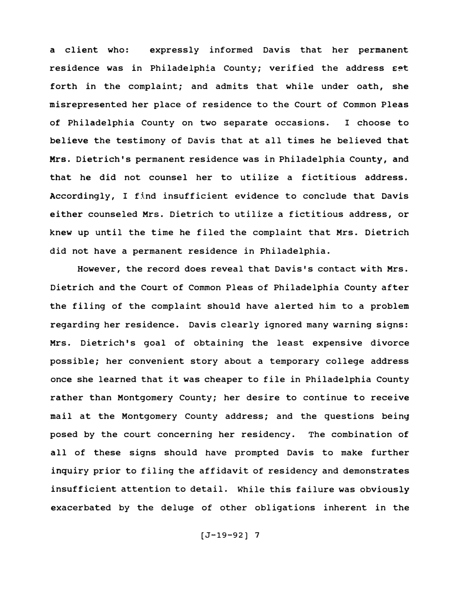a client who: expressly informed Davis that her permanent residence was in Philadelphia County; verified the address set forth in the complaint; and admits that while under oath, she misrepresented her place of residence to the Court of Common Pleas of Philadelphia County on two separate occasions. I choose to believe the testimony of Davis that at all times he believed that Mrs. Dietrich's permanent residence was in Philadelphia County, and that he did not counsel her to utilize a fictitious address. Accordingly, I find insufficient evidence to conclude that Davis either counseled Mrs. Dietrich to utilize a fictitious address, or knew up until the time he filed the complaint that Mrs. Dietrich did not have a permanent residence in Philadelphia.

However, the record does reveal that Davis's contact with Mrs. Dietrich and the Court of Common Pleas of Philadelphia County after the filing of the complaint should have alerted him to a problem regarding her residence. Davis clearly ignored many warning signs: Mrs. Dietrich's goal of obtaining the least expensive divorce possible; her convenient story about a temporary college address once she learned that it was cheaper to file in Philadelphia County rather than Montgomery County; her desire to continue to receive mail at the Montgomery County address; and the questions being posed by the court concerning her residency. The combination of all of these signs should have prompted Davis to make further inquiry prior to filing the affidavit of residency and demonstrates insufficient attention to detail. While this failure was obviously exacerbated by the deluge of other obligations inherent in the

 $[J-19-92]$  7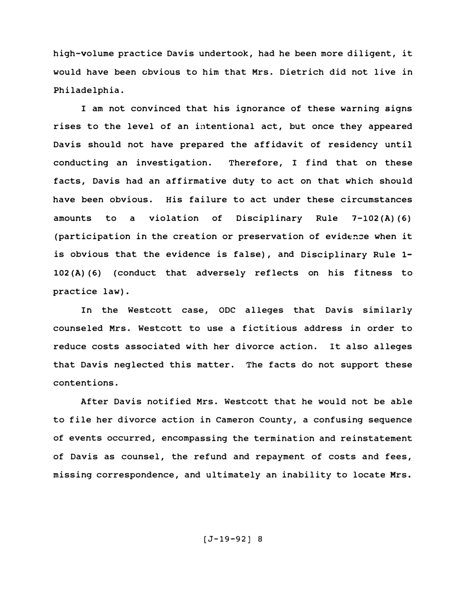high-volume practice Davis undertook, had he been more diligent, it would have been obvious to him that Mrs. Dietrich did not live in Philadelphia.

I am not convinced that his ignorance of these warning signs rises to the level of an intentional act, but once they appeared Davis should not have prepared the affidavit of residency until conducting an investigation. Therefore, I find that on these facts, Davis had an affirmative duty to act on that which should have been obvious. His failure to act under these circumstances amounts to a violation of Disciplinary Rule 7-102 (A) (6) (participation in the creation or preservation of eviden�e when it is obvious that the evidence is false), and Disciplinary Rule 1- 102 (A) (6) (conduct that adversely reflects on his fitness to practice law) •

In the Westcott case, CDC alleges that Davis similarly counseled Mrs. Westcott to use a fictitious address in order to reduce costs associated with her divorce action. It also alleges that Davis neglected this matter. The facts do not support these contentions.

After Davis notified Mrs. Westcott that he would not be able to file her divorce action in Cameron County, a confusing sequence of events occurred, encompassing the termination and reinstatement of Davis as counsel, the refund and repayment of costs and fees, missing correspondence, and ultimately an inability to locate Mrs.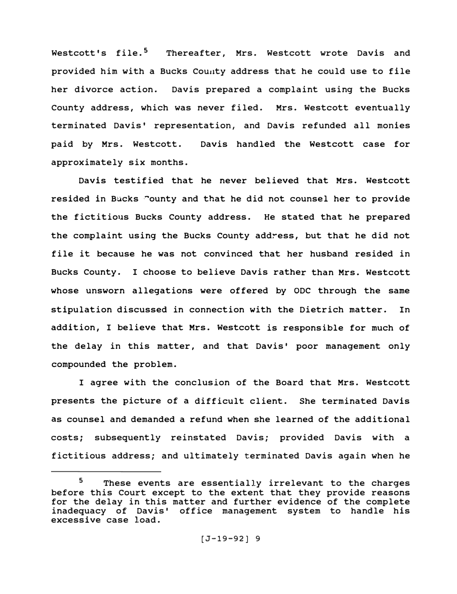Westcott's file.<sup>5</sup> Thereafter. Mrs. Westcott wrote Davis and provided him with a Bucks County address that he could use to file her divorce action. Davis prepared a complaint using the Bucks County address, which was never filed. Mrs. Westcott eventually terminated Davis' representation, and Davis refunded all monies paid by Mrs. Westcott. Davis handled the Westcott case for approximately six months.

Davis testified that he never believed that Mrs. Westcott resided in Bucks "ounty and that he did not counsel her to provide the fictitious Bucks County address. He stated that he prepared the complaint using the Bucks County address, but that he did not file it because he was not convinced that her husband resided in Bucks County. I choose to believe Davis rather than Mrs. Westcott whose unsworn allegations were offered by ODC through the same stipulation discussed in connection with the Dietrich matter. In addition, I believe that Mrs. Westcott is responsible for much of the delay in this matter, and that Davis' poor management only compounded the problem.

I agree with the conclusion of the Board that Mrs. Westcott presents the picture of a difficult client. She terminated Davis as counsel and demanded a refund when she learned of the additional costs; subsequently reinstated Davis; provided Davis with a fictitious address; and ultimately terminated Davis again when he

<sup>&</sup>lt;sup>5</sup> These events are essentially irrelevant to the charges before this Court except to the extent that they provide reasons for the delay in this matter and further evidence of the complete inadequacy of Davis' office management system to handle his excessive case load.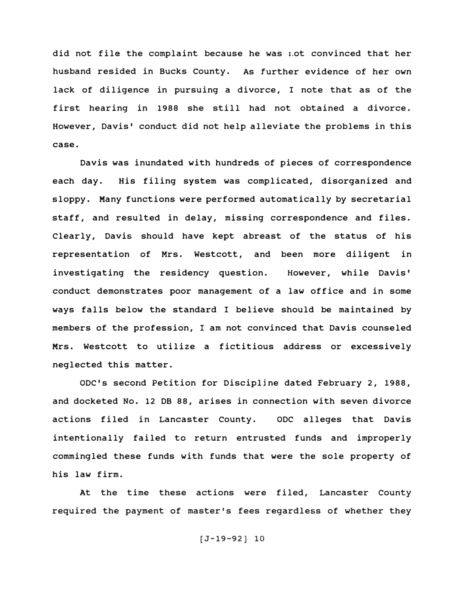did not file the complaint because he was 1.ot convinced that her husband resided in Bucks county. As further evidence of her own lack of diligence in pursuing a divorce, I note that as of the first hearing in 1988 she still had not obtained a divorce. However, Davis' conduct did not help alleviate the problems in this case.

Davis was inundated with hundreds of pieces of correspondence each day. His filing system was complicated, disorganized and sloppy. Many functions were performed automatically by secretarial staff, and resulted in delay, missing correspondence and files. Clearly, Davis should have kept abreast of the status of his representation of Mrs. Westcott, and been more diligent in investigating the residency question. However, while Davis' conduct demonstrates poor management of a law office and in some ways falls below the standard I believe should be maintained by members of the profession, I am not convinced that Davis counseled Mrs. Westcott to utilize a fictitious address or excessively neglected this matter.

ODC's second Petition for Discipljne dated February 2, 1988, and docketed No. 12 DB 88, arises in connection with seven divorce actions filed in Lancaster County. ODC alleges that Davis intentionally failed to return entrusted funds and improperly commingled these funds with funds that were the sole property of his law firm.

At the time these actions were filed, Lancaster County required the payment of master's fees regardless of whether they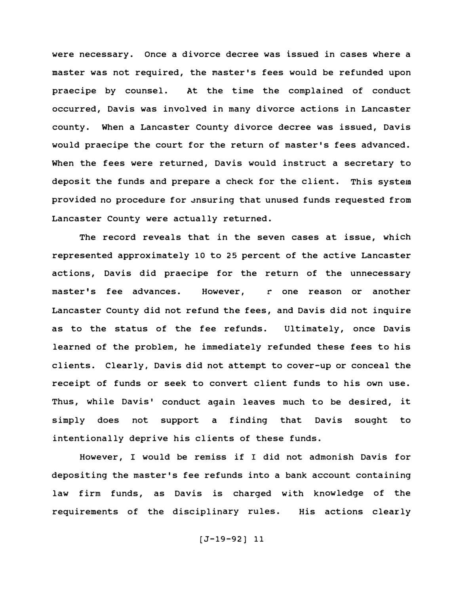were necessary. Once a divorce decree was issued in cases where a master was not required, the master's fees would be refunded upon praecipe by counsel. At the time the complained of conduct occurred, Davis was involved in many divorce actions in Lancaster county. When a Lancaster County divorce decree was issued, Davis would praecipe the court for the return of master's fees advanced. When the fees were returned, Davis would instruct a secretary to deposit the funds and prepare a check for the client. This system provided no procedure for �nsuring that unused funds requested from Lancaster County were actually returned.

The record reveals that in the seven cases at issue, which represented approximately 10 to 25 percent of the active Lancaster actions, Davis did praecipe for the return of the unnecessary master's fee advances. However, r one reason or another Lancaster County did not refund the fees, and Davis did not inquire as to the status of the fee refunds. Ultimately, once Davis learned of the problem, he immediately refunded these fees to his clients. Clearly, Davis did not attempt to cover-up or conceal the receipt of funds or seek to convert client funds to his own use. Thus, while Davis' conduct again leaves much to be desired, it simply does not support a finding that Davis sought intentionally deprive his clients of these funds. to

However, I would be remiss if I did not admonish Davis for depositing the master's fee refunds into a bank account containing law firm funds, as Davis is charged with knowledge of the requirements of the disciplinary rules. His actions clearly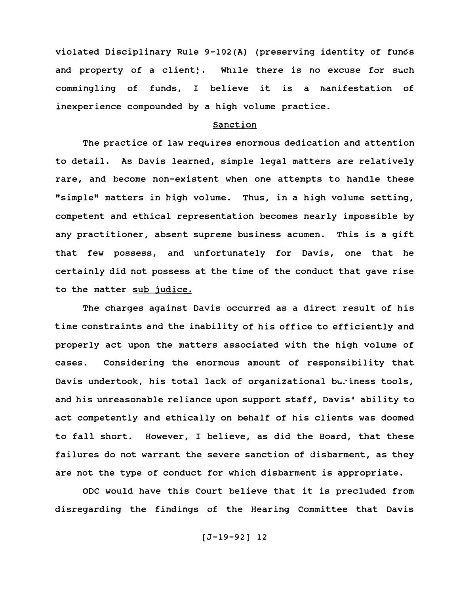violated Disciplinary Rule 9-102(A) (preserving identity of funds and property of a client). While there is no excuse for such commingling of funds, I believe it is a manifestation of inexperience compounded by a high volume practice.

# sanction

The practice of law requires enormous dedication and attention to detail. As Davis learned, simple legal matters are relatively rare, and become non-existent when one attempts to handle these "simple" matters in high volume. Thus, in a high volume setting, competent and ethical representation becomes nearly impossible by any practitioner, absent supreme business acumen. This is a gift that few possess, and unfortunately for Davis, one that he certainly did not possess at the time of the conduct that gave rise to the matter sub judice.

The charges against Davis occurred as a direct result of his time constraints and the inability of his office to efficiently and properly act upon the matters associated with the high volume of cases. Considering the enormous amount of responsibility that Davis undertook, his total lack of organizational buriness tools, and his unreasonable reliance upon support staff, Davis' ability to act competently and ethically on behalf of his clients was doomed to fall short. However, I believe, as did the Board, that these failures do not warrant the severe sanction of disbarment, as they are not the type of conduct for which disbarment is appropriate.

ODC would have this court believe that it is precluded from disregarding the findings of the Hearing Committee that Davis

(J-19-92) 12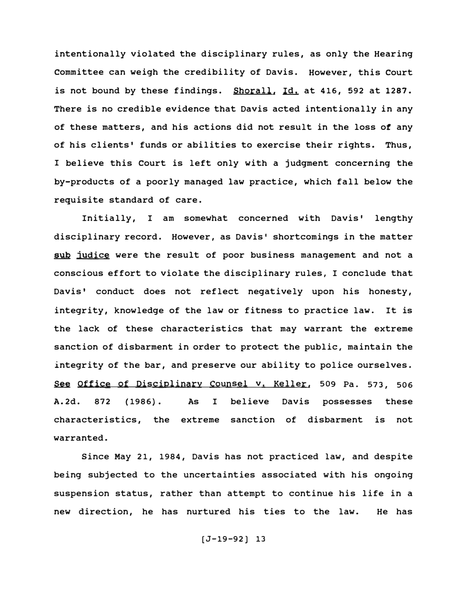intentionally violated the disciplinary rules, as only the Hearing committee can weigh the credibility of Davis. However, this Court is not bound by these findings. Shorall, Id, at 416, 592 at 1287. There is no credible evidence that Davis acted intentionally in any of these matters, and his actions did not result in the loss of any of his clients' funds or abilities to exercise their rights. Thus, I believe this Court is left only with a judgment concerning the by-products of a poorly managed law practice, which fall below the requisite standard of care.

Initially, I am somewhat concerned with Davis' lengthy disciplinary record. However, as Davis' shortcomings in the matter sub judice were the result of poor business management and not a conscious effort to violate the disciplinary rules, I conclude that Davis• conduct does not reflect negatively upon his honesty, integrity, knowledge of the law or fitness to practice law. It is the lack of these characteristics that may warrant the extreme sanction of disbarment in order to protect the public, maintain the integrity of the bar, and preserve our ability to police ourselves. See Office of Disciplinary Counsel v. Keller, 509 Pa. 573, 506 A.2d. 872 (1986). As I believe Davis possesses these characteristics, the extreme sanction of disbarment is not warranted.

Since May 21, 1984, Davis has not practiced law, and despite being subjected to the uncertainties associated with his ongoing suspension status, rather than attempt to continue his life in a new direction, he has nurtured his ties to the law. He has

(J-19-92) 13